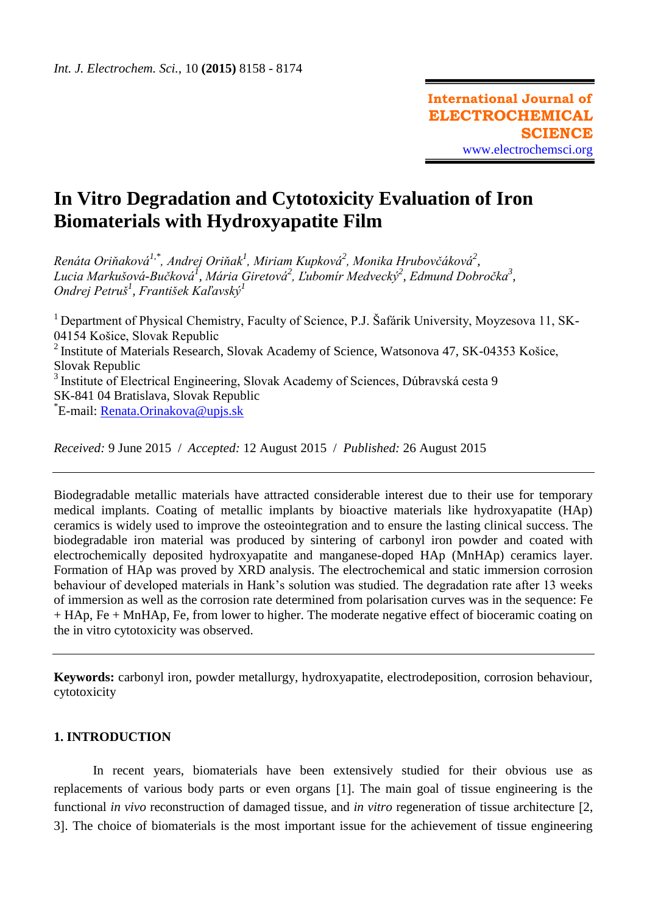# **In Vitro Degradation and Cytotoxicity Evaluation of Iron Biomaterials with Hydroxyapatite Film**

 $R$ enáta Oriňaková<sup>1,\*</sup>, Andrej Oriňak<sup>1</sup>, Miriam Kupková<sup>2</sup>, Monika Hrubovčáková<sup>2</sup>, *Lucia Markušová-Bučková<sup>1</sup> , Mária Giretová<sup>2</sup> , Ľubomír Medvecký<sup>2</sup> , Edmund Dobročka<sup>3</sup> , Ondrej Petruš<sup>1</sup> , František Kaľavský<sup>1</sup>*

<sup>1</sup> Department of Physical Chemistry, Faculty of Science, P.J. Šafárik University, Moyzesova 11, SK-04154 Košice, Slovak Republic <sup>2</sup> Institute of Materials Research, Slovak Academy of Science, Watsonova 47, SK-04353 Košice, Slovak Republic 3 Institute of Electrical Engineering, Slovak Academy of Sciences, Dúbravská cesta 9 SK-841 04 Bratislava, Slovak Republic <sup>\*</sup>E-mail: <u>Renata.Orinakova@upjs.sk</u>

*Received:* 9 June 2015/ *Accepted:* 12 August 2015 / *Published:* 26 August 2015

Biodegradable metallic materials have attracted considerable interest due to their use for temporary medical implants. Coating of metallic implants by bioactive materials like hydroxyapatite (HAp) ceramics is widely used to improve the osteointegration and to ensure the lasting clinical success. The biodegradable iron material was produced by sintering of carbonyl iron powder and coated with electrochemically deposited hydroxyapatite and manganese-doped HAp (MnHAp) ceramics layer. Formation of HAp was proved by XRD analysis. The electrochemical and static immersion corrosion behaviour of developed materials in Hank's solution was studied. The degradation rate after 13 weeks of immersion as well as the corrosion rate determined from polarisation curves was in the sequence: Fe + HAp, Fe + MnHAp, Fe, from lower to higher. The moderate negative effect of bioceramic coating on the in vitro cytotoxicity was observed.

**Keywords:** carbonyl iron, powder metallurgy, hydroxyapatite, electrodeposition, corrosion behaviour, cytotoxicity

## **1. INTRODUCTION**

In recent years, biomaterials have been extensively studied for their obvious use as replacements of various body parts or even organs [1]. The main goal of tissue engineering is the functional *in vivo* reconstruction of damaged tissue, and *in vitro* regeneration of tissue architecture [2, 3. The choice of biomaterials is the most important issue for the achievement of tissue engineering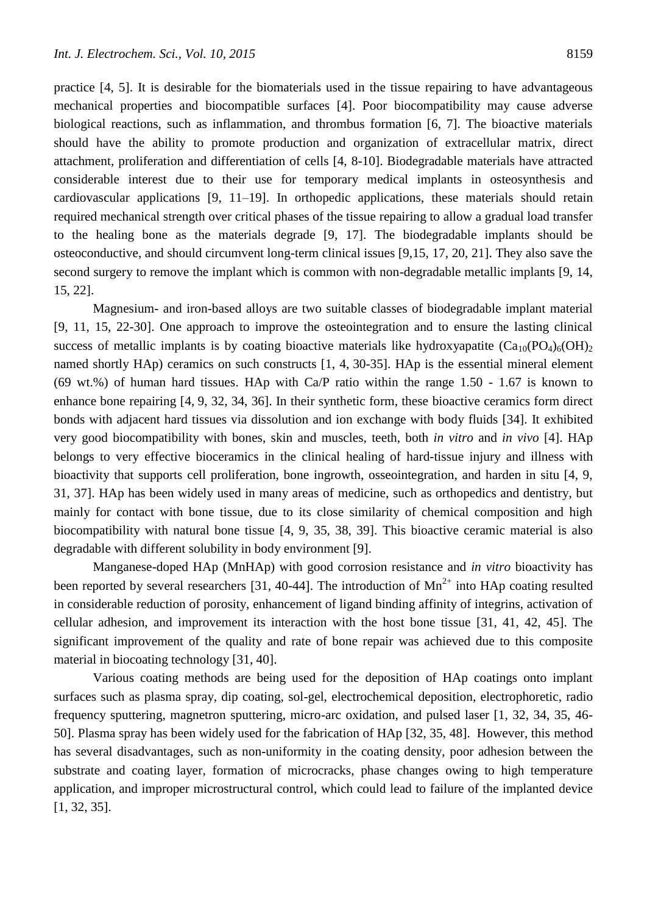practice [4, 5]. It is desirable for the biomaterials used in the tissue repairing to have advantageous mechanical properties and biocompatible surfaces [4]. Poor biocompatibility may cause adverse biological reactions, such as inflammation, and thrombus formation [6, 7]. The bioactive materials should have the ability to promote production and organization of extracellular matrix, direct attachment, proliferation and differentiation of cells [4, 8-10]. Biodegradable materials have attracted considerable interest due to their use for temporary medical implants in osteosynthesis and cardiovascular applications [9, 11–19]. In orthopedic applications, these materials should retain required mechanical strength over critical phases of the tissue repairing to allow a gradual load transfer to the healing bone as the materials degrade [9, 17]. The biodegradable implants should be osteoconductive, and should circumvent long-term clinical issues [9,15, 17, 20, 21]. They also save the second surgery to remove the implant which is common with non-degradable metallic implants [9, 14, 15, 22].

Magnesium- and iron-based alloys are two suitable classes of biodegradable implant material [9, 11, 15, 22-30]. One approach to improve the osteointegration and to ensure the lasting clinical success of metallic implants is by coating bioactive materials like hydroxyapatite  $(Ca_{10}(PO_4)_6(OH)_2)$ named shortly HAp) ceramics on such constructs [1, 4, 30-35]. HAp is the essential mineral element (69 wt.%) of human hard tissues. HAp with Ca/P ratio within the range 1.50 - 1.67 is known to enhance bone repairing [4, 9, 32, 34, 36]. In their synthetic form, these bioactive ceramics form direct bonds with adjacent hard tissues via dissolution and ion exchange with body fluids [34]. It exhibited very good biocompatibility with bones, skin and muscles, teeth, both *in vitro* and *in vivo* [4]. HAp belongs to very effective bioceramics in the clinical healing of hard-tissue injury and illness with bioactivity that supports cell proliferation, bone ingrowth, osseointegration, and harden in situ [4, 9, 31, 37]. HAp has been widely used in many areas of medicine, such as orthopedics and dentistry, but mainly for contact with bone tissue, due to its close similarity of chemical composition and high biocompatibility with natural bone tissue [4, 9, 35, 38, 39]. This bioactive ceramic material is also degradable with different solubility in body environment [9].

Manganese-doped HAp (MnHAp) with good corrosion resistance and *in vitro* bioactivity has been reported by several researchers [31, 40-44]. The introduction of  $Mn^{2+}$  into HAp coating resulted in considerable reduction of porosity, enhancement of ligand binding affinity of integrins, activation of cellular adhesion, and improvement its interaction with the host bone tissue [31, 41, 42, 45]. The significant improvement of the quality and rate of bone repair was achieved due to this composite material in biocoating technology [31, 40].

Various coating methods are being used for the deposition of HAp coatings onto implant surfaces such as plasma spray, dip coating, sol-gel, electrochemical deposition, electrophoretic, radio frequency sputtering, magnetron sputtering, micro-arc oxidation, and pulsed laser [1, 32, 34, 35, 46- 50]. Plasma spray has been widely used for the fabrication of HAp [32, 35, 48]. However, this method has several disadvantages, such as non-uniformity in the coating density, poor adhesion between the substrate and coating layer, formation of microcracks, phase changes owing to high temperature application, and improper microstructural control, which could lead to failure of the implanted device [1, 32, 35].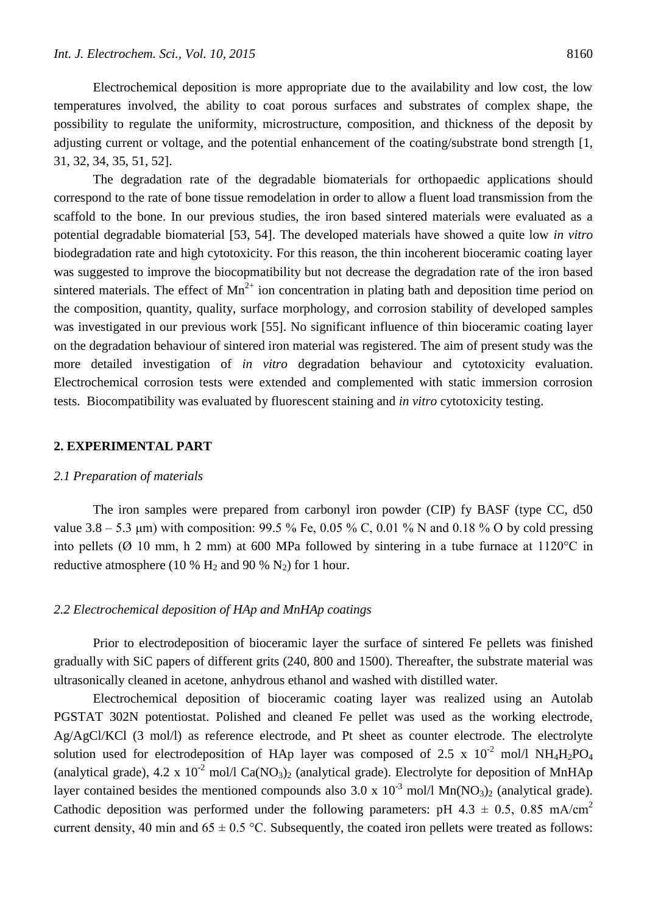Electrochemical deposition is more appropriate due to the availability and low cost, the low temperatures involved, the ability to coat porous surfaces and substrates of complex shape, the possibility to regulate the uniformity, microstructure, composition, and thickness of the deposit by adjusting current or voltage, and the potential enhancement of the coating/substrate bond strength [1, 31, 32, 34, 35, 51, 52].

The degradation rate of the degradable biomaterials for orthopaedic applications should correspond to the rate of bone tissue remodelation in order to allow a fluent load transmission from the scaffold to the bone. In our previous studies, the iron based sintered materials were evaluated as a potential degradable biomaterial [53, 54]. The developed materials have showed a quite low *in vitro* biodegradation rate and high cytotoxicity. For this reason, the thin incoherent bioceramic coating layer was suggested to improve the biocopmatibility but not decrease the degradation rate of the iron based sintered materials. The effect of  $Mn^{2+}$  ion concentration in plating bath and deposition time period on the composition, quantity, quality, surface morphology, and corrosion stability of developed samples was investigated in our previous work [55]. No significant influence of thin bioceramic coating layer on the degradation behaviour of sintered iron material was registered. The aim of present study was the more detailed investigation of *in vitro* degradation behaviour and cytotoxicity evaluation. Electrochemical corrosion tests were extended and complemented with static immersion corrosion tests. Biocompatibility was evaluated by fluorescent staining and *in vitro* cytotoxicity testing.

## **2. EXPERIMENTAL PART**

#### *2.1 Preparation of materials*

The iron samples were prepared from carbonyl iron powder (CIP) fy BASF (type CC, d50 value 3.8 – 5.3 μm) with composition: 99.5 % Fe, 0.05 % C, 0.01 % N and 0.18 % O by cold pressing into pellets ( $\varnothing$  10 mm, h 2 mm) at 600 MPa followed by sintering in a tube furnace at 1120 °C in reductive atmosphere (10 %  $H_2$  and 90 %  $N_2$ ) for 1 hour.

#### *2.2 Electrochemical deposition of HAp and MnHAp coatings*

Prior to electrodeposition of bioceramic layer the surface of sintered Fe pellets was finished gradually with SiC papers of different grits (240, 800 and 1500). Thereafter, the substrate material was ultrasonically cleaned in acetone, anhydrous ethanol and washed with distilled water.

Electrochemical deposition of bioceramic coating layer was realized using an Autolab PGSTAT 302N potentiostat. Polished and cleaned Fe pellet was used as the working electrode, Ag/AgCl/KCl (3 mol/l) as reference electrode, and Pt sheet as counter electrode. The electrolyte solution used for electrodeposition of HAp layer was composed of 2.5 x  $10^{-2}$  mol/l NH<sub>4</sub>H<sub>2</sub>PO<sub>4</sub> (analytical grade), 4.2 x 10<sup>-2</sup> mol/l Ca(NO<sub>3</sub>)<sub>2</sub> (analytical grade). Electrolyte for deposition of MnHAp layer contained besides the mentioned compounds also 3.0 x  $10^{-3}$  mol/l Mn(NO<sub>3</sub>)<sub>2</sub> (analytical grade). Cathodic deposition was performed under the following parameters: pH 4.3  $\pm$  0.5, 0.85 mA/cm<sup>2</sup> current density, 40 min and  $65 \pm 0.5$  °C. Subsequently, the coated iron pellets were treated as follows: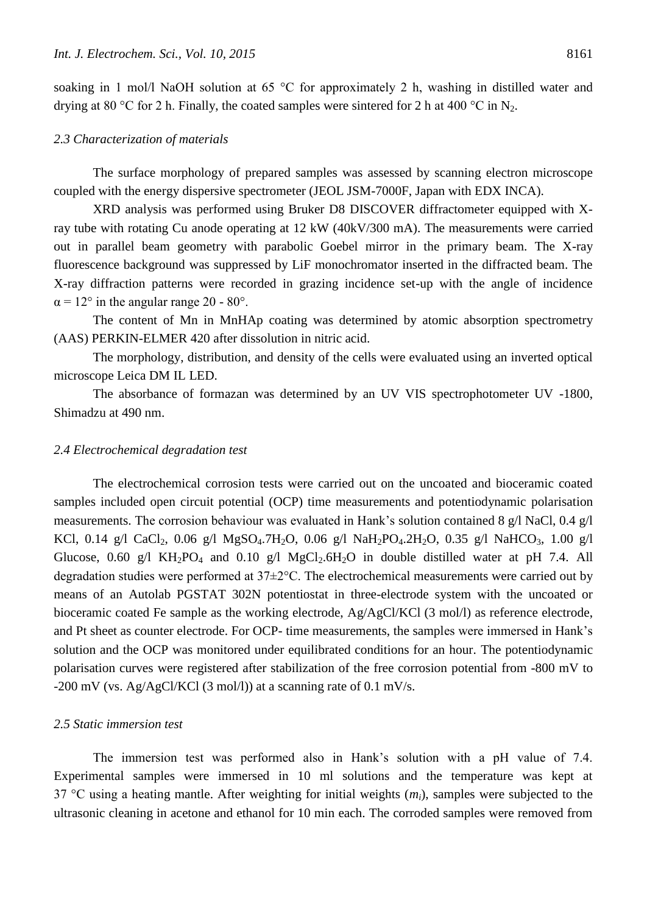soaking in 1 mol/l NaOH solution at 65 °C for approximately 2 h, washing in distilled water and drying at 80 °C for 2 h. Finally, the coated samples were sintered for 2 h at 400 °C in N<sub>2</sub>.

#### *2.3 Characterization of materials*

The surface morphology of prepared samples was assessed by scanning electron microscope coupled with the energy dispersive spectrometer (JEOL JSM-7000F, Japan with EDX INCA).

XRD analysis was performed using Bruker D8 DISCOVER diffractometer equipped with Xray tube with rotating Cu anode operating at 12 kW (40kV/300 mA). The measurements were carried out in parallel beam geometry with parabolic Goebel mirror in the primary beam. The X-ray fluorescence background was suppressed by LiF monochromator inserted in the diffracted beam. The X-ray diffraction patterns were recorded in grazing incidence set-up with the angle of incidence  $\alpha$  = 12° in the angular range 20 - 80°.

The content of Mn in MnHAp coating was determined by atomic absorption spectrometry (AAS) PERKIN-ELMER 420 after dissolution in nitric acid.

The morphology, distribution, and density of the cells were evaluated using an inverted optical microscope Leica DM IL LED.

The absorbance of formazan was determined by an UV VIS spectrophotometer UV -1800, Shimadzu at 490 nm.

#### *2.4 Electrochemical degradation test*

The electrochemical corrosion tests were carried out on the uncoated and bioceramic coated samples included open circuit potential (OCP) time measurements and potentiodynamic polarisation measurements. The corrosion behaviour was evaluated in Hank's solution contained 8 g/l NaCl, 0.4 g/l KCl, 0.14 g/l CaCl<sub>2</sub>, 0.06 g/l MgSO<sub>4</sub>.7H<sub>2</sub>O, 0.06 g/l NaH<sub>2</sub>PO<sub>4</sub>.2H<sub>2</sub>O, 0.35 g/l NaHCO<sub>3</sub>, 1.00 g/l Glucose, 0.60 g/l KH<sub>2</sub>PO<sub>4</sub> and 0.10 g/l MgCl<sub>2</sub>.6H<sub>2</sub>O in double distilled water at pH 7.4. All degradation studies were performed at 37±2°C. The electrochemical measurements were carried out by means of an Autolab PGSTAT 302N potentiostat in three-electrode system with the uncoated or bioceramic coated Fe sample as the working electrode, Ag/AgCl/KCl (3 mol/l) as reference electrode, and Pt sheet as counter electrode. For OCP- time measurements, the samples were immersed in Hank's solution and the OCP was monitored under equilibrated conditions for an hour. The potentiodynamic polarisation curves were registered after stabilization of the free corrosion potential from -800 mV to  $-200$  mV (vs. Ag/AgCl/KCl (3 mol/l)) at a scanning rate of 0.1 mV/s.

#### *2.5 Static immersion test*

The immersion test was performed also in Hank's solution with a pH value of 7.4. Experimental samples were immersed in 10 ml solutions and the temperature was kept at 37 °C using a heating mantle. After weighting for initial weights (*mi*), samples were subjected to the ultrasonic cleaning in acetone and ethanol for 10 min each. The corroded samples were removed from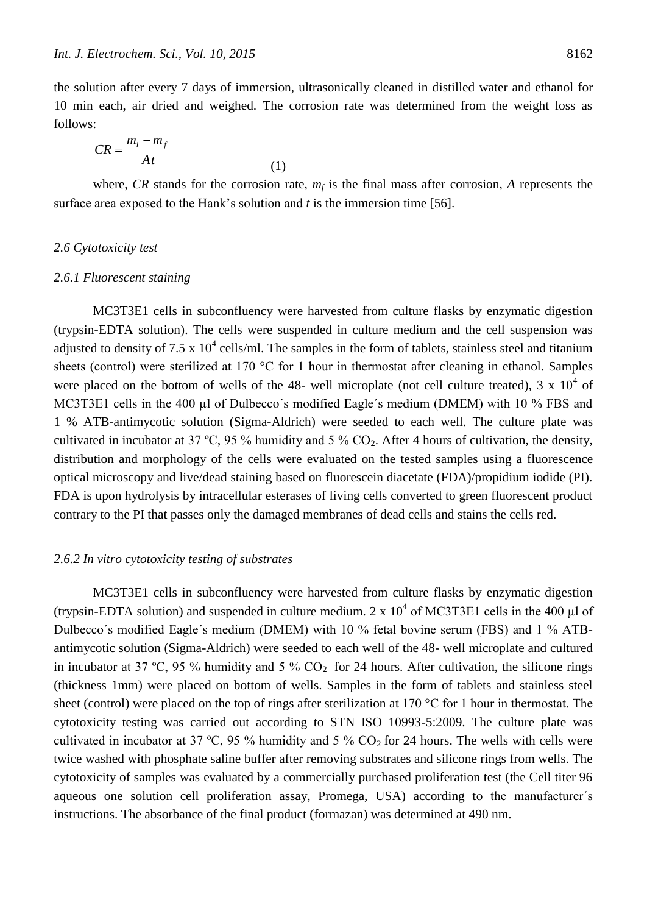the solution after every 7 days of immersion, ultrasonically cleaned in distilled water and ethanol for 10 min each, air dried and weighed. The corrosion rate was determined from the weight loss as follows:

$$
CR = \frac{m_i - m_f}{At} \tag{1}
$$

where, *CR* stands for the corrosion rate,  $m_f$  is the final mass after corrosion, *A* represents the surface area exposed to the Hank's solution and *t* is the immersion time [56].

#### *2.6 Cytotoxicity test*

#### *2.6.1 Fluorescent staining*

MC3T3E1 cells in subconfluency were harvested from culture flasks by enzymatic digestion (trypsin-EDTA solution). The cells were suspended in culture medium and the cell suspension was adjusted to density of 7.5 x  $10^4$  cells/ml. The samples in the form of tablets, stainless steel and titanium sheets (control) were sterilized at 170 °C for 1 hour in thermostat after cleaning in ethanol. Samples were placed on the bottom of wells of the 48- well microplate (not cell culture treated),  $3 \times 10^4$  of MC3T3E1 cells in the 400 µl of Dulbecco's modified Eagle's medium (DMEM) with 10 % FBS and 1 % ATB-antimycotic solution (Sigma-Aldrich) were seeded to each well. The culture plate was cultivated in incubator at 37 °C, 95 % humidity and 5 %  $CO<sub>2</sub>$ . After 4 hours of cultivation, the density, distribution and morphology of the cells were evaluated on the tested samples using a fluorescence optical microscopy and live/dead staining based on fluorescein diacetate (FDA)/propidium iodide (PI). FDA is upon hydrolysis by intracellular esterases of living cells converted to green fluorescent product contrary to the PI that passes only the damaged membranes of dead cells and stains the cells red.

#### *2.6.2 In vitro cytotoxicity testing of substrates*

MC3T3E1 cells in subconfluency were harvested from culture flasks by enzymatic digestion (trypsin-EDTA solution) and suspended in culture medium.  $2 \times 10^4$  of MC3T3E1 cells in the 400 µl of Dulbecco´s modified Eagle´s medium (DMEM) with 10 % fetal bovine serum (FBS) and 1 % ATBantimycotic solution (Sigma-Aldrich) were seeded to each well of the 48- well microplate and cultured in incubator at 37 °C, 95 % humidity and 5 %  $CO<sub>2</sub>$  for 24 hours. After cultivation, the silicone rings (thickness 1mm) were placed on bottom of wells. Samples in the form of tablets and stainless steel sheet (control) were placed on the top of rings after sterilization at 170 °C for 1 hour in thermostat. The cytotoxicity testing was carried out according to STN ISO 10993-5:2009. The culture plate was cultivated in incubator at 37 °C, 95 % humidity and 5 %  $CO_2$  for 24 hours. The wells with cells were twice washed with phosphate saline buffer after removing substrates and silicone rings from wells. The cytotoxicity of samples was evaluated by a commercially purchased proliferation test (the Cell titer 96 aqueous one solution cell proliferation assay, Promega, USA) according to the manufacturer´s instructions. The absorbance of the final product (formazan) was determined at 490 nm.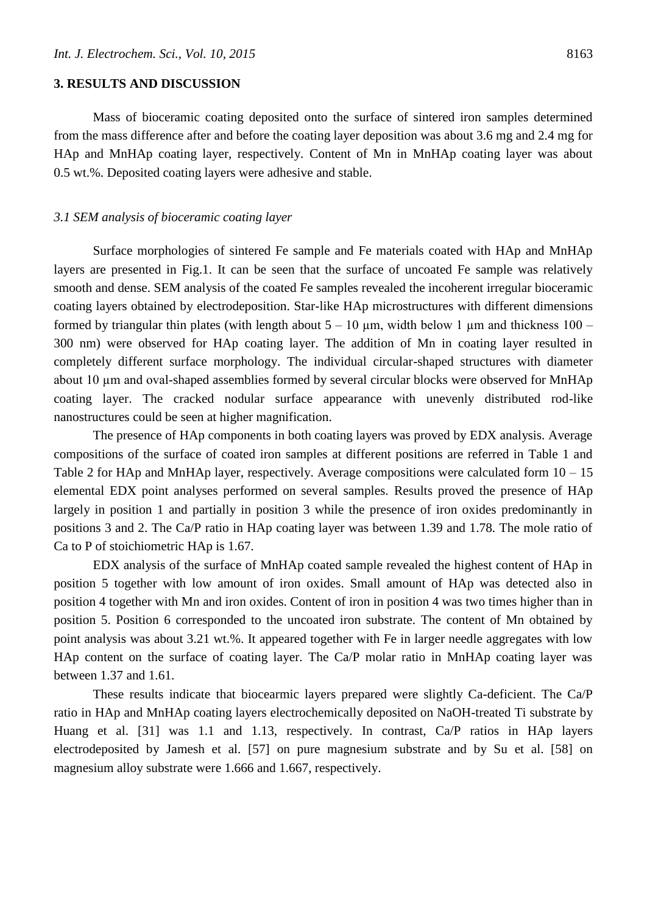#### **3. RESULTS AND DISCUSSION**

Mass of bioceramic coating deposited onto the surface of sintered iron samples determined from the mass difference after and before the coating layer deposition was about 3.6 mg and 2.4 mg for HAp and MnHAp coating layer, respectively. Content of Mn in MnHAp coating layer was about 0.5 wt.%. Deposited coating layers were adhesive and stable.

#### *3.1 SEM analysis of bioceramic coating layer*

Surface morphologies of sintered Fe sample and Fe materials coated with HAp and MnHAp layers are presented in Fig.1. It can be seen that the surface of uncoated Fe sample was relatively smooth and dense. SEM analysis of the coated Fe samples revealed the incoherent irregular bioceramic coating layers obtained by electrodeposition. Star-like HAp microstructures with different dimensions formed by triangular thin plates (with length about  $5 - 10 \mu m$ , width below 1  $\mu$ m and thickness 100 – 300 nm) were observed for HAp coating layer. The addition of Mn in coating layer resulted in completely different surface morphology. The individual circular-shaped structures with diameter about 10 µm and oval-shaped assemblies formed by several circular blocks were observed for MnHAp coating layer. The cracked nodular surface appearance with unevenly distributed rod-like nanostructures could be seen at higher magnification.

The presence of HAp components in both coating layers was proved by EDX analysis. Average compositions of the surface of coated iron samples at different positions are referred in Table 1 and Table 2 for HAp and MnHAp layer, respectively. Average compositions were calculated form  $10 - 15$ elemental EDX point analyses performed on several samples. Results proved the presence of HAp largely in position 1 and partially in position 3 while the presence of iron oxides predominantly in positions 3 and 2. The Ca/P ratio in HAp coating layer was between 1.39 and 1.78. The mole ratio of Ca to P of stoichiometric HAp is 1.67.

EDX analysis of the surface of MnHAp coated sample revealed the highest content of HAp in position 5 together with low amount of iron oxides. Small amount of HAp was detected also in position 4 together with Mn and iron oxides. Content of iron in position 4 was two times higher than in position 5. Position 6 corresponded to the uncoated iron substrate. The content of Mn obtained by point analysis was about 3.21 wt.%. It appeared together with Fe in larger needle aggregates with low HAp content on the surface of coating layer. The Ca/P molar ratio in MnHAp coating layer was between 1.37 and 1.61.

These results indicate that biocearmic layers prepared were slightly Ca-deficient. The Ca/P ratio in HAp and MnHAp coating layers electrochemically deposited on NaOH-treated Ti substrate by Huang et al. [31] was 1.1 and 1.13, respectively. In contrast, Ca/P ratios in HAp layers electrodeposited by Jamesh et al. [57] on pure magnesium substrate and by Su et al. [58] on magnesium alloy substrate were 1.666 and 1.667, respectively.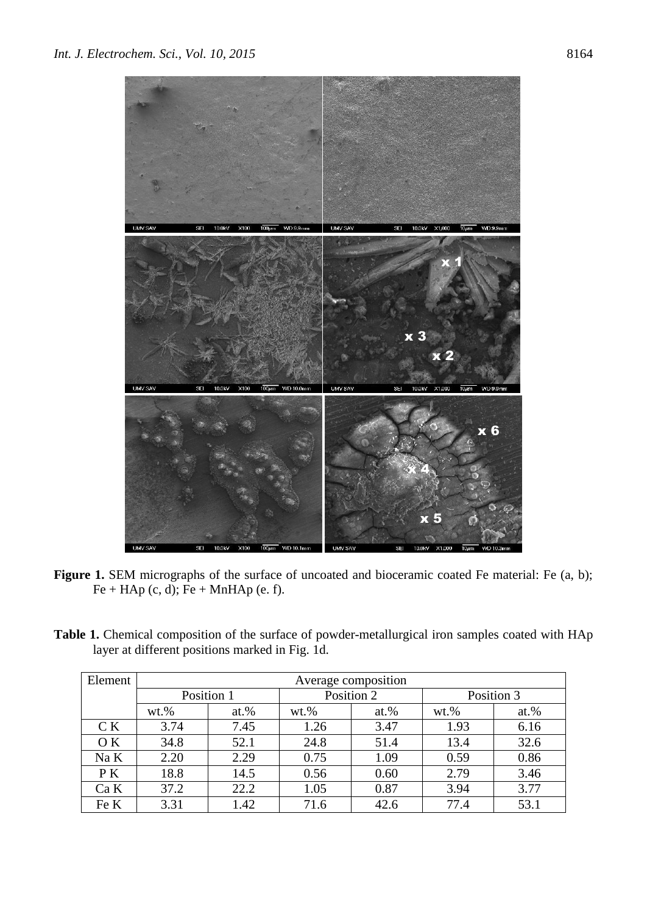

- Figure 1. SEM micrographs of the surface of uncoated and bioceramic coated Fe material: Fe (a, b);  $Fe + HAp$  (c, d);  $Fe + MnHAp$  (e. f).
- Table 1. Chemical composition of the surface of powder-metallurgical iron samples coated with HAp layer at different positions marked in Fig. 1d.

| Element | Average composition |         |          |            |            |         |  |  |
|---------|---------------------|---------|----------|------------|------------|---------|--|--|
|         | Position 1          |         |          | Position 2 | Position 3 |         |  |  |
|         | $wt.$ %             | $at.$ % | $wt. \%$ | at. $%$    | $wt.$ %    | $at.$ % |  |  |
| C K     | 3.74                | 7.45    | 1.26     | 3.47       | 1.93       | 6.16    |  |  |
| O K     | 34.8                | 52.1    | 24.8     | 51.4       | 13.4       | 32.6    |  |  |
| Na K    | 2.20                | 2.29    | 0.75     | 1.09       | 0.59       | 0.86    |  |  |
| P K     | 18.8                | 14.5    | 0.56     | 0.60       | 2.79       | 3.46    |  |  |
| Ca K    | 37.2                | 22.2    | 1.05     | 0.87       | 3.94       | 3.77    |  |  |
| Fe K    | 3.31                | 1.42    | 71.6     | 42.6       | 77.4       | 53.1    |  |  |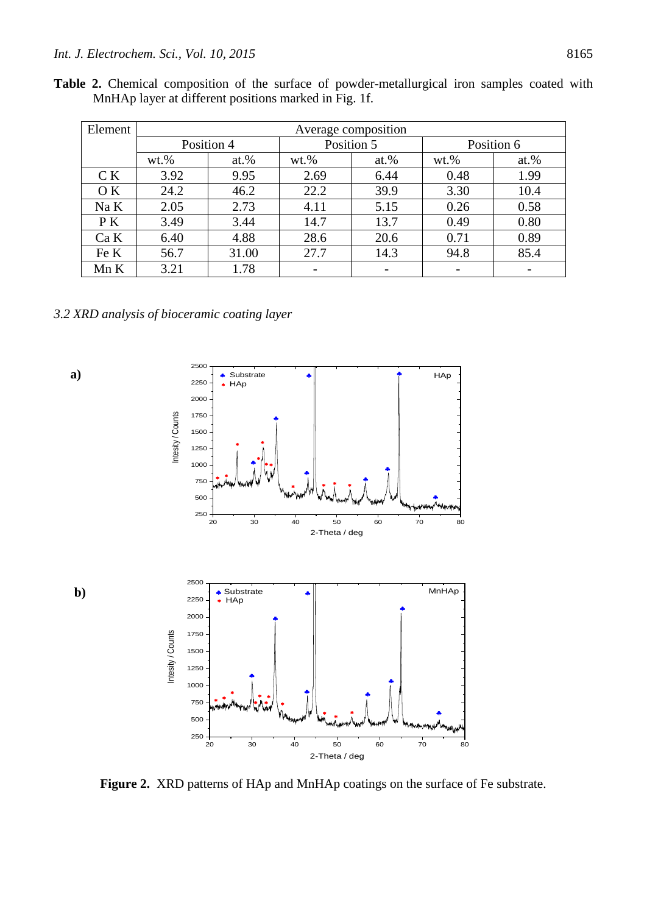|  |                                                       |  | <b>Table 2.</b> Chemical composition of the surface of powder-metallurgical iron samples coated with |  |  |
|--|-------------------------------------------------------|--|------------------------------------------------------------------------------------------------------|--|--|
|  | MnHAp layer at different positions marked in Fig. 1f. |  |                                                                                                      |  |  |

| Element | Average composition |         |         |            |            |         |  |  |
|---------|---------------------|---------|---------|------------|------------|---------|--|--|
|         | Position 4          |         |         | Position 5 | Position 6 |         |  |  |
|         | $wt.$ %             | $at.$ % | $wt.$ % | $at.$ %    | $wt.$ %    | $at.$ % |  |  |
| C K     | 3.92                | 9.95    | 2.69    | 6.44       | 0.48       | 1.99    |  |  |
| O K     | 24.2                | 46.2    | 22.2    | 39.9       | 3.30       | 10.4    |  |  |
| Na K    | 2.05                | 2.73    | 4.11    | 5.15       | 0.26       | 0.58    |  |  |
| P K     | 3.49                | 3.44    | 14.7    | 13.7       | 0.49       | 0.80    |  |  |
| Ca K    | 6.40                | 4.88    | 28.6    | 20.6       | 0.71       | 0.89    |  |  |
| Fe K    | 56.7                | 31.00   | 27.7    | 14.3       | 94.8       | 85.4    |  |  |
| Mn K    | 3.21                | 1.78    |         |            |            |         |  |  |

*3.2 XRD analysis of bioceramic coating layer*



**Figure 2.** XRD patterns of HAp and MnHAp coatings on the surface of Fe substrate.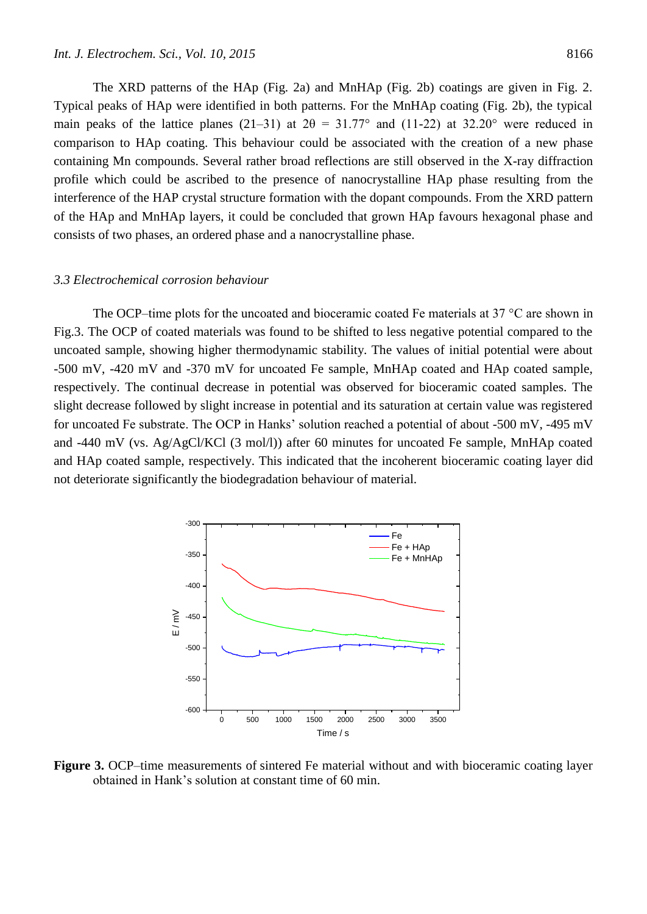The XRD patterns of the HAp (Fig. 2a) and MnHAp (Fig. 2b) coatings are given in Fig. 2. Typical peaks of HAp were identified in both patterns. For the MnHAp coating (Fig. 2b), the typical main peaks of the lattice planes (21–31) at  $2\theta = 31.77^{\circ}$  and (11-22) at 32.20° were reduced in comparison to HAp coating. This behaviour could be associated with the creation of a new phase containing Mn compounds. Several rather broad reflections are still observed in the X-ray diffraction profile which could be ascribed to the presence of nanocrystalline HAp phase resulting from the interference of the HAP crystal structure formation with the dopant compounds. From the XRD pattern of the HAp and MnHAp layers, it could be concluded that grown HAp favours hexagonal phase and consists of two phases, an ordered phase and a nanocrystalline phase.

#### *3.3 Electrochemical corrosion behaviour*

The OCP–time plots for the uncoated and bioceramic coated Fe materials at 37  $\degree$ C are shown in Fig.3. The OCP of coated materials was found to be shifted to less negative potential compared to the uncoated sample, showing higher thermodynamic stability. The values of initial potential were about -500 mV, -420 mV and -370 mV for uncoated Fe sample, MnHAp coated and HAp coated sample, respectively. The continual decrease in potential was observed for bioceramic coated samples. The slight decrease followed by slight increase in potential and its saturation at certain value was registered for uncoated Fe substrate. The OCP in Hanks' solution reached a potential of about -500 mV, -495 mV and -440 mV (vs. Ag/AgCl/KCl (3 mol/l)) after 60 minutes for uncoated Fe sample, MnHAp coated and HAp coated sample, respectively. This indicated that the incoherent bioceramic coating layer did not deteriorate significantly the biodegradation behaviour of material.



**Figure 3.** OCP–time measurements of sintered Fe material without and with bioceramic coating layer obtained in Hank's solution at constant time of 60 min.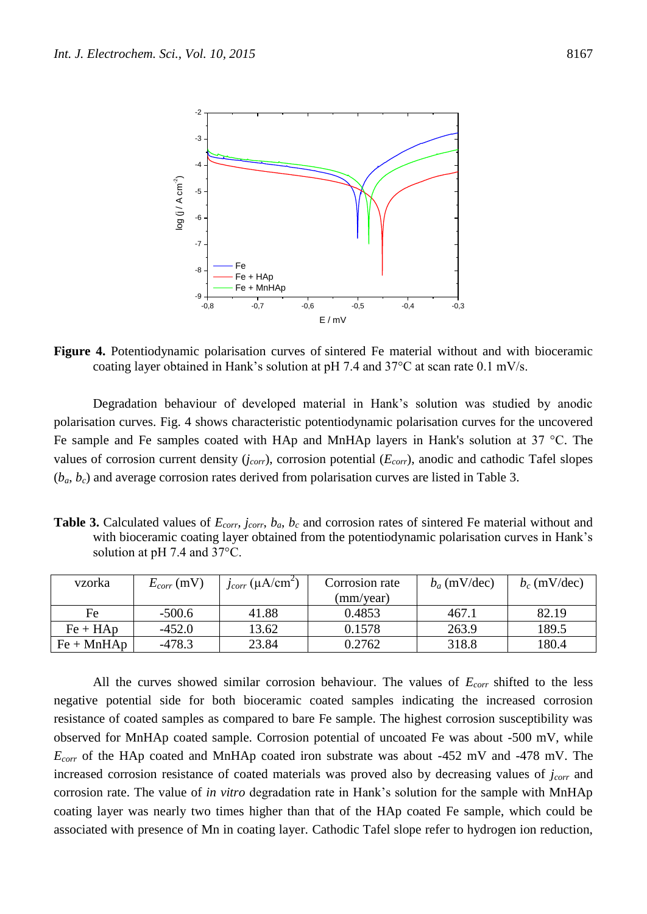

**Figure 4.** Potentiodynamic polarisation curves of sintered Fe material without and with bioceramic coating layer obtained in Hank's solution at pH 7.4 and 37°C at scan rate 0.1 mV/s.

Degradation behaviour of developed material in Hank's solution was studied by anodic polarisation curves. Fig. 4 shows characteristic potentiodynamic polarisation curves for the uncovered Fe sample and Fe samples coated with HAp and MnHAp layers in Hank's solution at 37 °C. The values of corrosion current density (*jcorr*), corrosion potential (*Ecorr*), anodic and cathodic Tafel slopes (*ba*, *bc*) and average corrosion rates derived from polarisation curves are listed in Table 3.

**Table 3.** Calculated values of *Ecorr, jcorr*, *ba*, *b<sup>c</sup>* and corrosion rates of sintered Fe material without and with bioceramic coating layer obtained from the potentiodynamic polarisation curves in Hank's solution at pH 7.4 and 37°C.

| vzorka       | $E_{corr}$ (mV) | $j_{corr}$ (µA/cm <sup>2</sup> ) | Corrosion rate | $b_a$ (mV/dec) | $b_c$ (mV/dec) |
|--------------|-----------------|----------------------------------|----------------|----------------|----------------|
|              |                 |                                  | (mm/year)      |                |                |
| Fe           | $-500.6$        | 41.88                            | 0.4853         | 467.1          | 82.19          |
| $Fe + HAp$   | $-452.0$        | 13.62                            | 0.1578         | 263.9          | 189.5          |
| $Fe + MnHAp$ | $-478.3$        | 23.84                            | 0.2762         | 318.8          | 180.4          |

All the curves showed similar corrosion behaviour. The values of *Ecorr* shifted to the less negative potential side for both bioceramic coated samples indicating the increased corrosion resistance of coated samples as compared to bare Fe sample. The highest corrosion susceptibility was observed for MnHAp coated sample. Corrosion potential of uncoated Fe was about -500 mV, while *Ecorr* of the HAp coated and MnHAp coated iron substrate was about -452 mV and -478 mV. The increased corrosion resistance of coated materials was proved also by decreasing values of *jcorr* and corrosion rate. The value of *in vitro* degradation rate in Hank's solution for the sample with MnHAp coating layer was nearly two times higher than that of the HAp coated Fe sample, which could be associated with presence of Mn in coating layer. Cathodic Tafel slope refer to hydrogen ion reduction,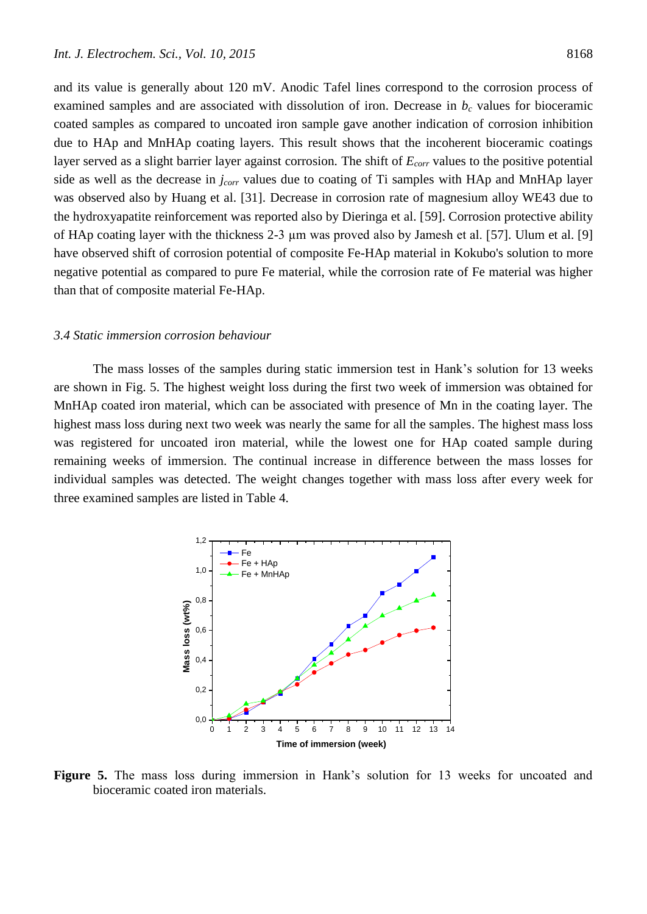and its value is generally about 120 mV. Anodic Tafel lines correspond to the corrosion process of examined samples and are associated with dissolution of iron. Decrease in  $b<sub>c</sub>$  values for bioceramic coated samples as compared to uncoated iron sample gave another indication of corrosion inhibition due to HAp and MnHAp coating layers. This result shows that the incoherent bioceramic coatings layer served as a slight barrier layer against corrosion. The shift of *Ecorr* values to the positive potential side as well as the decrease in *jcorr* values due to coating of Ti samples with HAp and MnHAp layer was observed also by Huang et al. [31]. Decrease in corrosion rate of magnesium alloy WE43 due to the hydroxyapatite reinforcement was reported also by Dieringa et al. [59]. Corrosion protective ability of HAp coating layer with the thickness 2-3 µm was proved also by Jamesh et al. [57]. Ulum et al. [9] have observed shift of corrosion potential of composite Fe-HAp material in Kokubo's solution to more negative potential as compared to pure Fe material, while the corrosion rate of Fe material was higher than that of composite material Fe-HAp.

#### *3.4 Static immersion corrosion behaviour*

The mass losses of the samples during static immersion test in Hank's solution for 13 weeks are shown in Fig. 5. The highest weight loss during the first two week of immersion was obtained for MnHAp coated iron material, which can be associated with presence of Mn in the coating layer. The highest mass loss during next two week was nearly the same for all the samples. The highest mass loss was registered for uncoated iron material, while the lowest one for HAp coated sample during remaining weeks of immersion. The continual increase in difference between the mass losses for individual samples was detected. The weight changes together with mass loss after every week for three examined samples are listed in Table 4.



Figure 5. The mass loss during immersion in Hank's solution for 13 weeks for uncoated and bioceramic coated iron materials.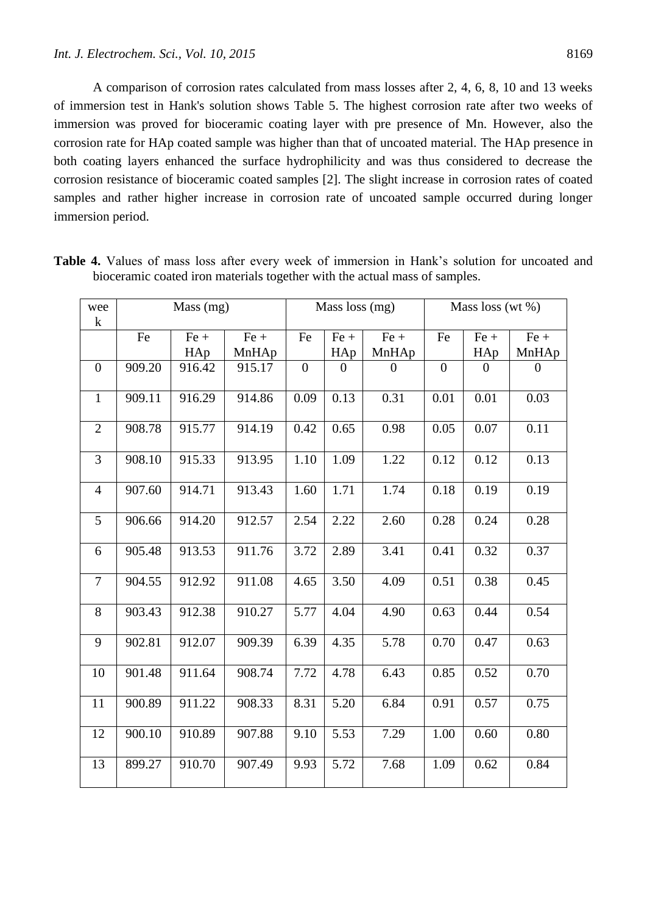A comparison of corrosion rates calculated from mass losses after 2, 4, 6, 8, 10 and 13 weeks of immersion test in Hank's solution shows Table 5. The highest corrosion rate after two weeks of immersion was proved for bioceramic coating layer with pre presence of Mn. However, also the corrosion rate for HAp coated sample was higher than that of uncoated material. The HAp presence in both coating layers enhanced the surface hydrophilicity and was thus considered to decrease the corrosion resistance of bioceramic coated samples [2]. The slight increase in corrosion rates of coated samples and rather higher increase in corrosion rate of uncoated sample occurred during longer immersion period.

| wee<br>$\bf k$ | Mass (mg) |               |                 | Mass loss (mg)   |               |                 | Mass loss (wt %) |                |                  |
|----------------|-----------|---------------|-----------------|------------------|---------------|-----------------|------------------|----------------|------------------|
|                | Fe        | $Fe +$<br>HAp | $Fe +$<br>MnHAp | Fe               | $Fe +$<br>HAp | $Fe +$<br>MnHAp | Fe               | $Fe +$<br>HAp  | $Fe +$<br>MnHAp  |
| $\overline{0}$ | 909.20    | 916.42        | 915.17          | $\boldsymbol{0}$ | $\theta$      | $\overline{0}$  | $\boldsymbol{0}$ | $\overline{0}$ | $\boldsymbol{0}$ |
| $\mathbf{1}$   | 909.11    | 916.29        | 914.86          | 0.09             | 0.13          | 0.31            | 0.01             | 0.01           | 0.03             |
| $\overline{2}$ | 908.78    | 915.77        | 914.19          | 0.42             | 0.65          | 0.98            | 0.05             | 0.07           | 0.11             |
| 3              | 908.10    | 915.33        | 913.95          | 1.10             | 1.09          | 1.22            | 0.12             | 0.12           | 0.13             |
| $\overline{4}$ | 907.60    | 914.71        | 913.43          | 1.60             | 1.71          | 1.74            | 0.18             | 0.19           | 0.19             |
| 5              | 906.66    | 914.20        | 912.57          | 2.54             | 2.22          | 2.60            | 0.28             | 0.24           | 0.28             |
| 6              | 905.48    | 913.53        | 911.76          | 3.72             | 2.89          | 3.41            | 0.41             | 0.32           | 0.37             |
| $\overline{7}$ | 904.55    | 912.92        | 911.08          | 4.65             | 3.50          | 4.09            | 0.51             | 0.38           | 0.45             |
| 8              | 903.43    | 912.38        | 910.27          | 5.77             | 4.04          | 4.90            | 0.63             | 0.44           | 0.54             |
| 9              | 902.81    | 912.07        | 909.39          | 6.39             | 4.35          | 5.78            | 0.70             | 0.47           | 0.63             |
| 10             | 901.48    | 911.64        | 908.74          | 7.72             | 4.78          | 6.43            | 0.85             | 0.52           | 0.70             |
| 11             | 900.89    | 911.22        | 908.33          | 8.31             | 5.20          | 6.84            | 0.91             | 0.57           | 0.75             |
| 12             | 900.10    | 910.89        | 907.88          | 9.10             | 5.53          | 7.29            | 1.00             | 0.60           | 0.80             |
| 13             | 899.27    | 910.70        | 907.49          | 9.93             | 5.72          | 7.68            | 1.09             | 0.62           | 0.84             |

**Table 4.** Values of mass loss after every week of immersion in Hank's solution for uncoated and bioceramic coated iron materials together with the actual mass of samples.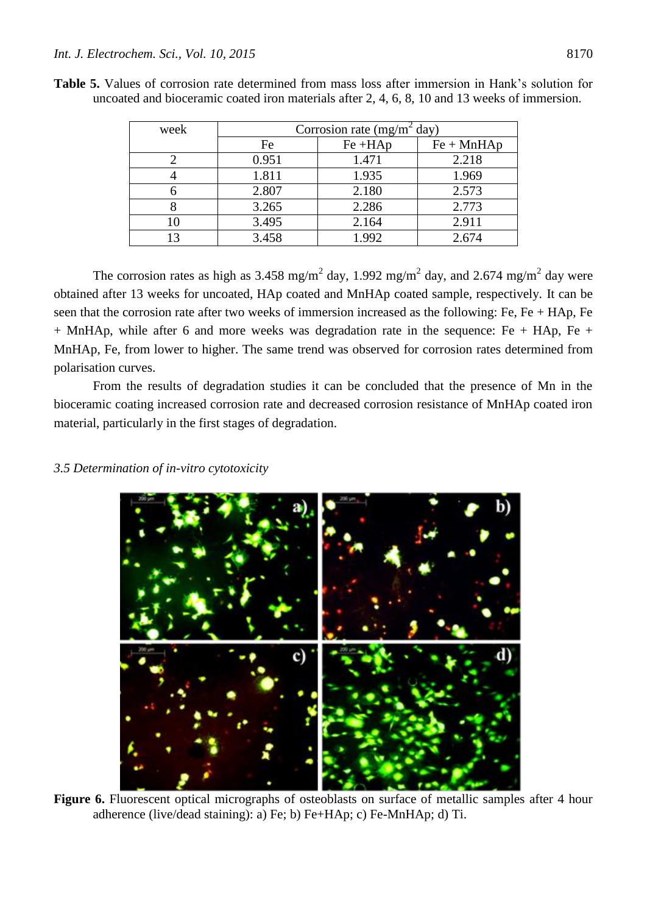| week | Corrosion rate (mg/m <sup>2</sup> day) |            |              |  |  |  |  |
|------|----------------------------------------|------------|--------------|--|--|--|--|
|      | Fe                                     | $Fe + HAp$ | $Fe + MnHAp$ |  |  |  |  |
|      | 0.951                                  | 1.471      | 2.218        |  |  |  |  |
|      | 1.811                                  | 1.935      | 1.969        |  |  |  |  |
|      | 2.807                                  | 2.180      | 2.573        |  |  |  |  |
|      | 3.265                                  | 2.286      | 2.773        |  |  |  |  |
|      | 3.495                                  | 2.164      | 2.911        |  |  |  |  |
|      | 3.458                                  | 1.992      | 2.674        |  |  |  |  |

**Table 5.** Values of corrosion rate determined from mass loss after immersion in Hank's solution for uncoated and bioceramic coated iron materials after 2, 4, 6, 8, 10 and 13 weeks of immersion.

The corrosion rates as high as 3.458 mg/m<sup>2</sup> day, 1.992 mg/m<sup>2</sup> day, and 2.674 mg/m<sup>2</sup> day were obtained after 13 weeks for uncoated, HAp coated and MnHAp coated sample, respectively. It can be seen that the corrosion rate after two weeks of immersion increased as the following: Fe, Fe + HAp, Fe  $+$  MnHAp, while after 6 and more weeks was degradation rate in the sequence: Fe  $+$  HAp, Fe  $+$ MnHAp, Fe, from lower to higher. The same trend was observed for corrosion rates determined from polarisation curves.

From the results of degradation studies it can be concluded that the presence of Mn in the bioceramic coating increased corrosion rate and decreased corrosion resistance of MnHAp coated iron material, particularly in the first stages of degradation.

## *3.5 Determination of in-vitro cytotoxicity*



Figure 6. Fluorescent optical micrographs of osteoblasts on surface of metallic samples after 4 hour adherence (live/dead staining): a) Fe; b) Fe+HAp; c) Fe-MnHAp; d) Ti.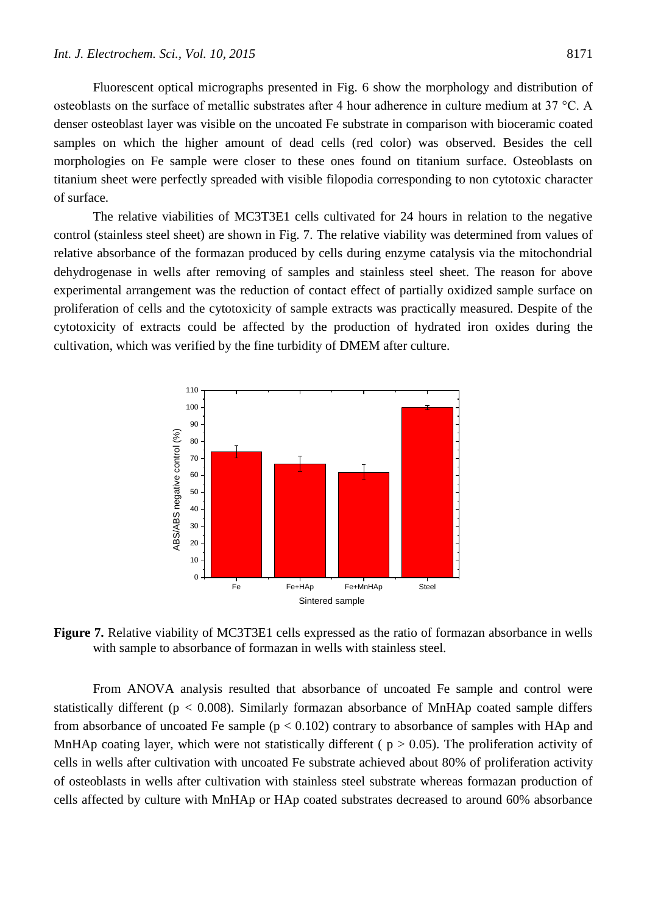Fluorescent optical micrographs presented in Fig. 6 show the morphology and distribution of osteoblasts on the surface of metallic substrates after 4 hour adherence in culture medium at 37 °C. A denser osteoblast layer was visible on the uncoated Fe substrate in comparison with bioceramic coated samples on which the higher amount of dead cells (red color) was observed. Besides the cell morphologies on Fe sample were closer to these ones found on titanium surface. Osteoblasts on titanium sheet were perfectly spreaded with visible filopodia corresponding to non cytotoxic character of surface.

The relative viabilities of MC3T3E1 cells cultivated for 24 hours in relation to the negative control (stainless steel sheet) are shown in Fig. 7. The relative viability was determined from values of relative absorbance of the formazan produced by cells during enzyme catalysis via the mitochondrial dehydrogenase in wells after removing of samples and stainless steel sheet. The reason for above experimental arrangement was the reduction of contact effect of partially oxidized sample surface on proliferation of cells and the cytotoxicity of sample extracts was practically measured. Despite of the cytotoxicity of extracts could be affected by the production of hydrated iron oxides during the cultivation, which was verified by the fine turbidity of DMEM after culture.



**Figure 7.** Relative viability of MC3T3E1 cells expressed as the ratio of formazan absorbance in wells with sample to absorbance of formazan in wells with stainless steel.

From ANOVA analysis resulted that absorbance of uncoated Fe sample and control were statistically different ( $p < 0.008$ ). Similarly formazan absorbance of MnHAp coated sample differs from absorbance of uncoated Fe sample  $(p < 0.102)$  contrary to absorbance of samples with HAp and MnHAp coating layer, which were not statistically different ( $p > 0.05$ ). The proliferation activity of cells in wells after cultivation with uncoated Fe substrate achieved about 80% of proliferation activity of osteoblasts in wells after cultivation with stainless steel substrate whereas formazan production of cells affected by culture with MnHAp or HAp coated substrates decreased to around 60% absorbance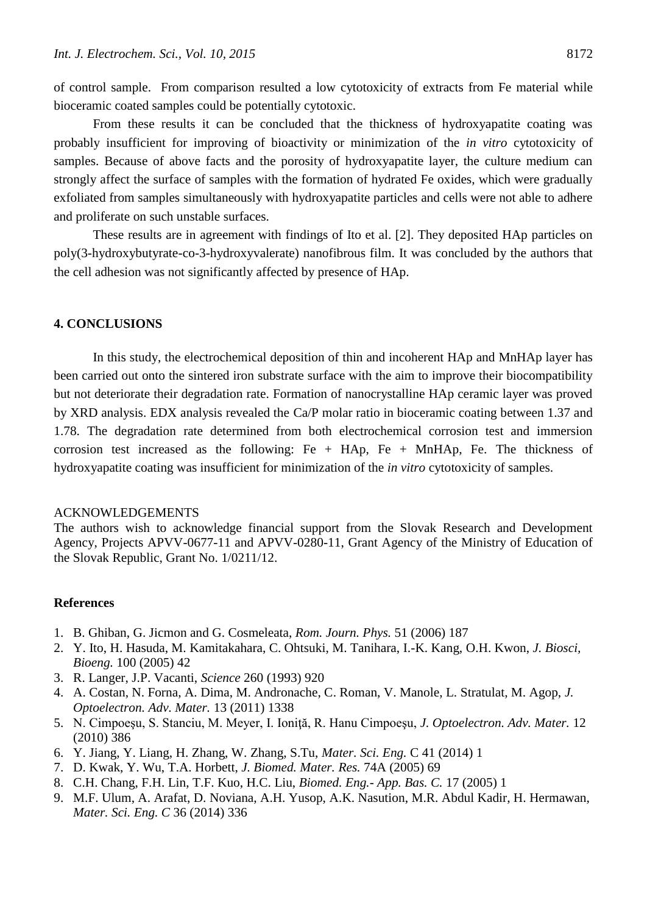of control sample. From comparison resulted a low cytotoxicity of extracts from Fe material while bioceramic coated samples could be potentially cytotoxic.

From these results it can be concluded that the thickness of hydroxyapatite coating was probably insufficient for improving of bioactivity or minimization of the *in vitro* cytotoxicity of samples. Because of above facts and the porosity of hydroxyapatite layer, the culture medium can strongly affect the surface of samples with the formation of hydrated Fe oxides, which were gradually exfoliated from samples simultaneously with hydroxyapatite particles and cells were not able to adhere and proliferate on such unstable surfaces.

These results are in agreement with findings of Ito et al. [2]. They deposited HAp particles on poly(3-hydroxybutyrate-co-3-hydroxyvalerate) nanofibrous film. It was concluded by the authors that the cell adhesion was not significantly affected by presence of HAp.

#### **4. CONCLUSIONS**

In this study, the electrochemical deposition of thin and incoherent HAp and MnHAp layer has been carried out onto the sintered iron substrate surface with the aim to improve their biocompatibility but not deteriorate their degradation rate. Formation of nanocrystalline HAp ceramic layer was proved by XRD analysis. EDX analysis revealed the Ca/P molar ratio in bioceramic coating between 1.37 and 1.78. The degradation rate determined from both electrochemical corrosion test and immersion corrosion test increased as the following:  $Fe + HAp$ ,  $Fe + MnHAp$ ,  $Fe$ . The thickness of hydroxyapatite coating was insufficient for minimization of the *in vitro* cytotoxicity of samples.

#### ACKNOWLEDGEMENTS

The authors wish to acknowledge financial support from the Slovak Research and Development Agency, Projects APVV-0677-11 and APVV-0280-11, Grant Agency of the Ministry of Education of the Slovak Republic, Grant No. 1/0211/12.

#### **References**

- 1. B. Ghiban, G. Jicmon and G. Cosmeleata, *Rom. Journ. Phys.* 51 (2006) 187
- 2. Y. Ito, H. Hasuda, M. Kamitakahara, C. Ohtsuki, M. Tanihara, I.-K. Kang, O.H. Kwon, *J. Biosci, Bioeng.* 100 (2005) 42
- 3. R. Langer, J.P. Vacanti, *Science* 260 (1993) 920
- 4. A. Costan, N. Forna, A. Dima, M. Andronache, C. Roman, V. Manole, L. Stratulat, M. Agop, *J. Optoelectron. Adv. Mater.* 13 (2011) 1338
- 5. N. Cimpoeşu, S. Stanciu, M. Meyer, I. Ioniţă, R. Hanu Cimpoeşu, *J. Optoelectron. Adv. Mater.* 12 (2010) 386
- 6. Y. Jiang, Y. Liang, H. Zhang, W. Zhang, S.Tu, *Mater. Sci. Eng.* C 41 (2014) 1
- 7. D. Kwak, Y. Wu, T.A. Horbett, *J. Biomed. Mater. Res.* 74A (2005) 69
- 8. C.H. Chang, F.H. Lin, T.F. Kuo, H.C. Liu, *Biomed. Eng.- App. Bas. C.* 17 (2005) 1
- 9. M.F. Ulum, A. Arafat, D. Noviana, A.H. Yusop, A.K. Nasution, M.R. Abdul Kadir, H. Hermawan, *Mater. Sci. Eng. C* 36 (2014) 336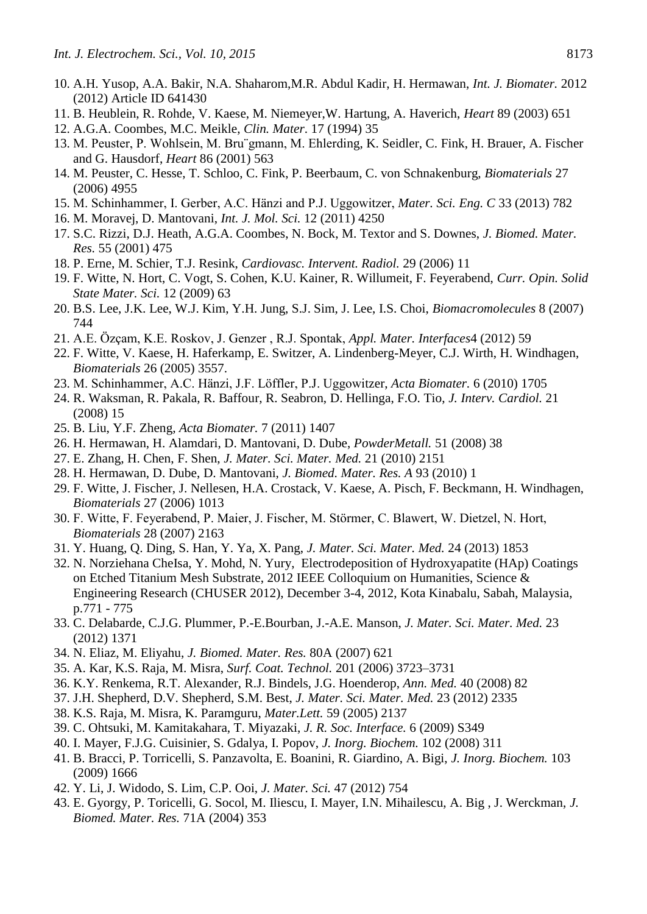- 10. A.H. Yusop, A.A. Bakir, N.A. Shaharom,M.R. Abdul Kadir, H. Hermawan, *Int. J. Biomater.* 2012 (2012) Article ID 641430
- 11. B. Heublein, R. Rohde, V. Kaese, M. Niemeyer,W. Hartung, A. Haverich, *Heart* 89 (2003) 651 12. A.G.A. Coombes, M.C. Meikle, *Clin. Mater*. 17 (1994) 35
- 13. M. Peuster, P. Wohlsein, M. Bru¨gmann, M. Ehlerding, K. Seidler, C. Fink, H. Brauer, A. Fischer and G. Hausdorf, *Heart* 86 (2001) 563
- 14. M. Peuster, C. Hesse, T. Schloo, C. Fink, P. Beerbaum, C. von Schnakenburg, *Biomaterials* 27 (2006) 4955
- 15. M. Schinhammer, I. Gerber, A.C. Hänzi and P.J. Uggowitzer, *Mater. Sci. Eng. C* 33 (2013) 782
- 16. M. Moravej, D. Mantovani, *Int. J. Mol. Sci.* 12 (2011) 4250
- 17. S.C. Rizzi, D.J. Heath, A.G.A. Coombes, N. Bock, M. Textor and S. Downes, *J. Biomed. Mater. Res.* 55 (2001) 475
- 18. P. Erne, M. Schier, T.J. Resink, *Cardiovasc. Intervent. Radiol.* 29 (2006) 11
- 19. F. Witte, N. Hort, C. Vogt, S. Cohen, K.U. Kainer, R. Willumeit, F. Feyerabend, *Curr. Opin. Solid State Mater. Sci.* 12 (2009) 63
- 20. B.S. Lee, J.K. Lee, W.J. Kim, Y.H. Jung, S.J. Sim, J. Lee, I.S. Choi, *Biomacromolecules* 8 (2007) 744
- 21. A.E. Özçam, K.E. Roskov, J. Genzer , R.J. Spontak, *Appl. Mater. Interfaces*4 (2012) 59
- 22. F. Witte, V. Kaese, H. Haferkamp, E. Switzer, A. Lindenberg-Meyer, C.J. Wirth, H. Windhagen, *Biomaterials* 26 (2005) 3557.
- 23. M. Schinhammer, A.C. Hänzi, J.F. Löffler, P.J. Uggowitzer, *Acta Biomater.* 6 (2010) 1705
- 24. R. Waksman, R. Pakala, R. Baffour, R. Seabron, D. Hellinga, F.O. Tio, *J. Interv. Cardiol.* 21 (2008) 15
- 25. B. Liu, Y.F. Zheng, *Acta Biomater.* 7 (2011) 1407
- 26. H. Hermawan, H. Alamdari, D. Mantovani, D. Dube, *PowderMetall.* 51 (2008) 38
- 27. E. Zhang, H. Chen, F. Shen, *J. Mater. Sci. Mater. Med.* 21 (2010) 2151
- 28. H. Hermawan, D. Dube, D. Mantovani, *J. Biomed. Mater. Res. A* 93 (2010) 1
- 29. F. Witte, J. Fischer, J. Nellesen, H.A. Crostack, V. Kaese, A. Pisch, F. Beckmann, H. Windhagen, *Biomaterials* 27 (2006) 1013
- 30. F. Witte, F. Feyerabend, P. Maier, J. Fischer, M. Störmer, C. Blawert, W. Dietzel, N. Hort, *Biomaterials* 28 (2007) 2163
- 31. Y. Huang, Q. Ding, S. Han, Y. Ya, X. Pang, *J. Mater. Sci. Mater. Med.* 24 (2013) 1853
- 32. N. Norziehana CheIsa, Y. Mohd, N. Yury, Electrodeposition of Hydroxyapatite (HAp) Coatings on Etched Titanium Mesh Substrate, 2012 IEEE Colloquium on Humanities, Science & Engineering Research (CHUSER 2012), December 3-4, 2012, Kota Kinabalu, Sabah, Malaysia, p.771 - 775
- 33. C. Delabarde, C.J.G. Plummer, P.-E.Bourban, J.-A.E. Manson, *J. Mater. Sci. Mater. Med.* 23 (2012) 1371
- 34. N. Eliaz, M. Eliyahu, *J. Biomed. Mater. Res.* 80A (2007) 621
- 35. A. Kar, K.S. Raja, M. Misra, *Surf. Coat. Technol.* 201 (2006) 3723–3731
- 36. K.Y. Renkema, R.T. Alexander, R.J. Bindels, J.G. Hoenderop, *Ann. Med.* 40 (2008) 82
- 37. J.H. Shepherd, D.V. Shepherd, S.M. Best, *J. Mater. Sci. Mater. Med.* 23 (2012) 2335
- 38. K.S. Raja, M. Misra, K. Paramguru, *Mater.Lett.* 59 (2005) 2137
- 39. C. Ohtsuki, M. Kamitakahara, T. Miyazaki, *J. R. Soc. Interface.* 6 (2009) S349
- 40. I. Mayer, F.J.G. Cuisinier, S. Gdalya, I. Popov, *J. Inorg. Biochem.* 102 (2008) 311
- 41. B. Bracci, P. Torricelli, S. Panzavolta, E. Boanini, R. Giardino, A. Bigi, *J. Inorg. Biochem.* 103 (2009) 1666
- 42. Y. Li, J. Widodo, S. Lim, C.P. Ooi, *J. Mater. Sci.* 47 (2012) 754
- 43. E. Gyorgy, P. Toricelli, G. Socol, M. Iliescu, I. Mayer, I.N. Mihailescu, A. Big , J. Werckman, *J. Biomed. Mater. Res.* 71A (2004) 353